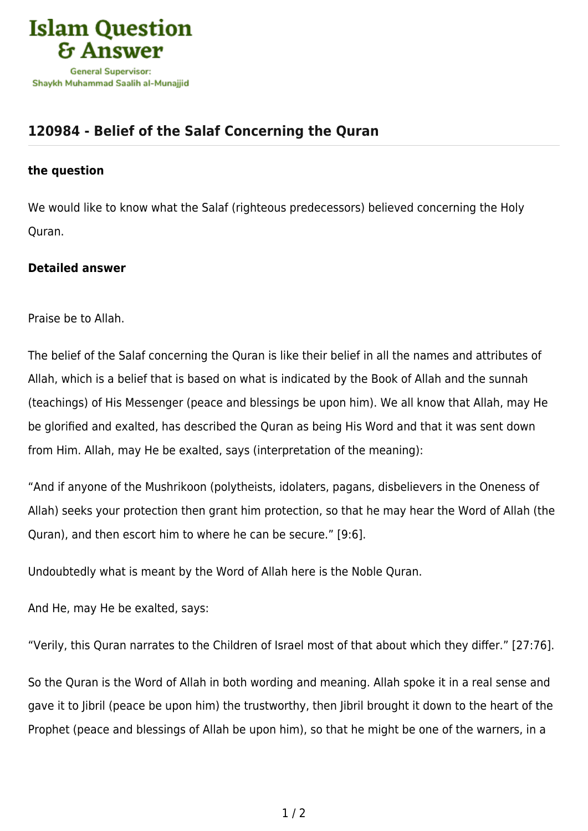

## **[120984 - Belief of the Salaf Concerning the Quran](https://islamqa.com/en/answers/120984/belief-of-the-salaf-concerning-the-quran)**

## **the question**

We would like to know what the Salaf (righteous predecessors) believed concerning the Holy Quran.

## **Detailed answer**

Praise be to Allah.

The belief of the Salaf concerning the Quran is like their belief in all the names and attributes of Allah, which is a belief that is based on what is indicated by the Book of Allah and the sunnah (teachings) of His Messenger (peace and blessings be upon him). We all know that Allah, may He be glorified and exalted, has described the Quran as being His Word and that it was sent down from Him. Allah, may He be exalted, says (interpretation of the meaning):

"And if anyone of the Mushrikoon (polytheists, idolaters, pagans, disbelievers in the Oneness of Allah) seeks your protection then grant him protection, so that he may hear the Word of Allah (the Quran), and then escort him to where he can be secure." [9:6].

Undoubtedly what is meant by the Word of Allah here is the Noble Quran.

And He, may He be exalted, says:

"Verily, this Quran narrates to the Children of Israel most of that about which they differ." [27:76].

So the Quran is the Word of Allah in both wording and meaning. Allah spoke it in a real sense and gave it to Jibril (peace be upon him) the trustworthy, then Jibril brought it down to the heart of the Prophet (peace and blessings of Allah be upon him), so that he might be one of the warners, in a